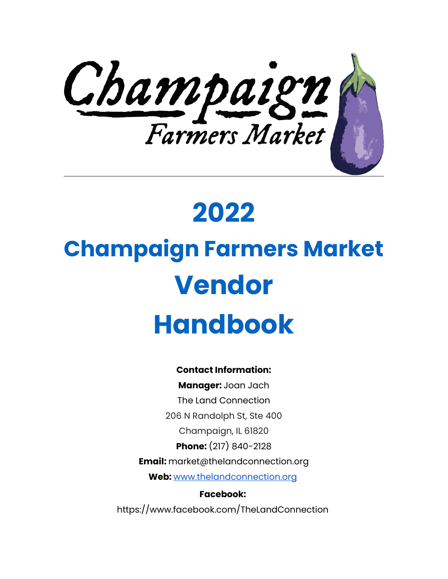

## **2022**

# **Champaign Farmers Market Vendor Handbook**

#### **Contact Information:**

**Manager:** Joan Jach The Land Connection 206 N Randolph St, Ste 400 Champaign, IL 61820 **Phone:** (217) 840-2128 **Email:** market@thelandconnection.org **Web:** [www.thelandconnection.org](http://www.thelandconnection.org/)

**Facebook:**  https://www.facebook.com/TheLandConnection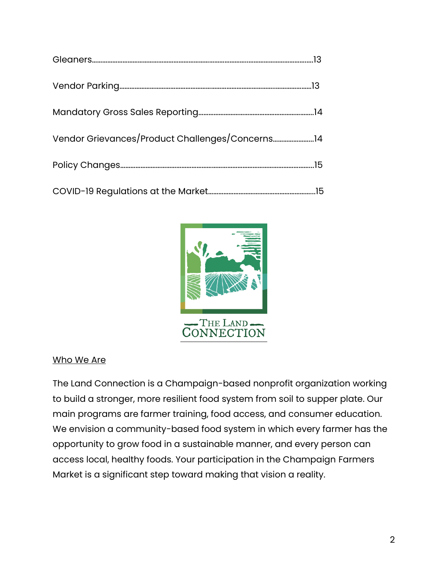

#### Who We Are

The Land Connection is a Champaign-based nonprofit organization working to build a stronger, more resilient food system from soil to supper plate. Our main programs are farmer training, food access, and consumer education. We envision a community-based food system in which every farmer has the opportunity to grow food in a sustainable manner, and every person can access local, healthy foods. Your participation in the Champaign Farmers Market is a significant step toward making that vision a reality.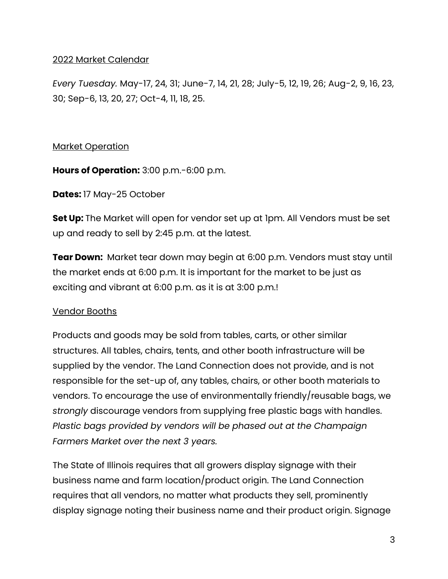#### 2022 Market Calendar

*Every Tuesday.* May-17, 24, 31; June-7, 14, 21, 28; July-5, 12, 19, 26; Aug-2, 9, 16, 23, 30; Sep-6, 13, 20, 27; Oct-4, 11, 18, 25.

#### Market Operation

**Hours of Operation:** 3:00 p.m.-6:00 p.m.

**Dates:** 17 May-25 October

**Set Up:** The Market will open for vendor set up at 1pm. All Vendors must be set up and ready to sell by 2:45 p.m. at the latest.

**Tear Down:** Market tear down may begin at 6:00 p.m. Vendors must stay until the market ends at 6:00 p.m. It is important for the market to be just as exciting and vibrant at 6:00 p.m. as it is at 3:00 p.m.!

#### Vendor Booths

Products and goods may be sold from tables, carts, or other similar structures. All tables, chairs, tents, and other booth infrastructure will be supplied by the vendor. The Land Connection does not provide, and is not responsible for the set-up of, any tables, chairs, or other booth materials to vendors. To encourage the use of environmentally friendly/reusable bags, we *strongly* discourage vendors from supplying free plastic bags with handles. *Plastic bags provided by vendors will be phased out at the Champaign Farmers Market over the next 3 years.*

The State of Illinois requires that all growers display signage with their business name and farm location/product origin. The Land Connection requires that all vendors, no matter what products they sell, prominently display signage noting their business name and their product origin. Signage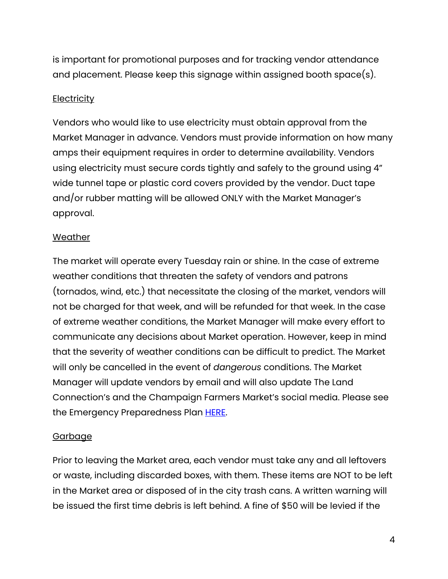is important for promotional purposes and for tracking vendor attendance and placement. Please keep this signage within assigned booth space(s).

#### **Electricity**

Vendors who would like to use electricity must obtain approval from the Market Manager in advance. Vendors must provide information on how many amps their equipment requires in order to determine availability. Vendors using electricity must secure cords tightly and safely to the ground using 4" wide tunnel tape or plastic cord covers provided by the vendor. Duct tape and/or rubber matting will be allowed ONLY with the Market Manager's approval.

#### Weather

The market will operate every Tuesday rain or shine. In the case of extreme weather conditions that threaten the safety of vendors and patrons (tornados, wind, etc.) that necessitate the closing of the market, vendors will not be charged for that week, and will be refunded for that week. In the case of extreme weather conditions, the Market Manager will make every effort to communicate any decisions about Market operation. However, keep in mind that the severity of weather conditions can be difficult to predict. The Market will only be cancelled in the event of *dangerous* conditions. The Market Manager will update vendors by email and will also update The Land Connection's and the Champaign Farmers Market's social media. Please see the Emergency Preparedness Plan **HERE**.

#### Garbage

Prior to leaving the Market area, each vendor must take any and all leftovers or waste, including discarded boxes, with them. These items are NOT to be left in the Market area or disposed of in the city trash cans. A written warning will be issued the first time debris is left behind. A fine of \$50 will be levied if the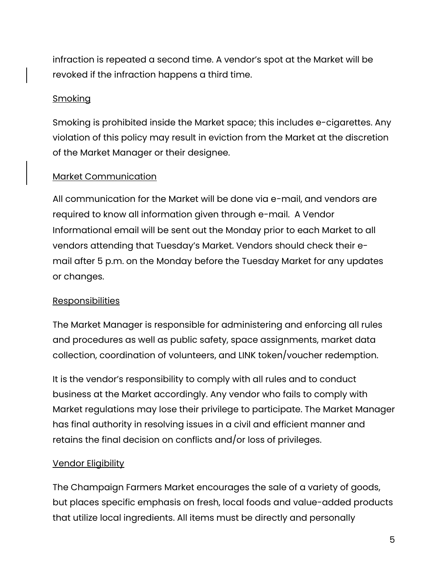infraction is repeated a second time. A vendor's spot at the Market will be revoked if the infraction happens a third time.

#### **Smoking**

Smoking is prohibited inside the Market space; this includes e-cigarettes. Any violation of this policy may result in eviction from the Market at the discretion of the Market Manager or their designee.

#### Market Communication

All communication for the Market will be done via e-mail, and vendors are required to know all information given through e-mail. A Vendor Informational email will be sent out the Monday prior to each Market to all vendors attending that Tuesday's Market. Vendors should check their email after 5 p.m. on the Monday before the Tuesday Market for any updates or changes.

#### Responsibilities

The Market Manager is responsible for administering and enforcing all rules and procedures as well as public safety, space assignments, market data collection, coordination of volunteers, and LINK token/voucher redemption.

It is the vendor's responsibility to comply with all rules and to conduct business at the Market accordingly. Any vendor who fails to comply with Market regulations may lose their privilege to participate. The Market Manager has final authority in resolving issues in a civil and efficient manner and retains the final decision on conflicts and/or loss of privileges.

#### Vendor Eligibility

The Champaign Farmers Market encourages the sale of a variety of goods, but places specific emphasis on fresh, local foods and value-added products that utilize local ingredients. All items must be directly and personally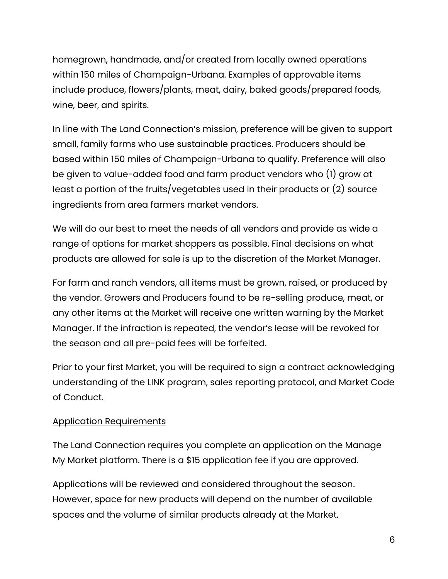homegrown, handmade, and/or created from locally owned operations within 150 miles of Champaign-Urbana. Examples of approvable items include produce, flowers/plants, meat, dairy, baked goods/prepared foods, wine, beer, and spirits.

In line with The Land Connection's mission, preference will be given to support small, family farms who use sustainable practices. Producers should be based within 150 miles of Champaign-Urbana to qualify. Preference will also be given to value-added food and farm product vendors who (1) grow at least a portion of the fruits/vegetables used in their products or (2) source ingredients from area farmers market vendors.

We will do our best to meet the needs of all vendors and provide as wide a range of options for market shoppers as possible. Final decisions on what products are allowed for sale is up to the discretion of the Market Manager.

For farm and ranch vendors, all items must be grown, raised, or produced by the vendor. Growers and Producers found to be re-selling produce, meat, or any other items at the Market will receive one written warning by the Market Manager. If the infraction is repeated, the vendor's lease will be revoked for the season and all pre-paid fees will be forfeited.

Prior to your first Market, you will be required to sign a contract acknowledging understanding of the LINK program, sales reporting protocol, and Market Code of Conduct.

#### Application Requirements

The Land Connection requires you complete an application on the Manage My Market platform. There is a \$15 application fee if you are approved.

Applications will be reviewed and considered throughout the season. However, space for new products will depend on the number of available spaces and the volume of similar products already at the Market.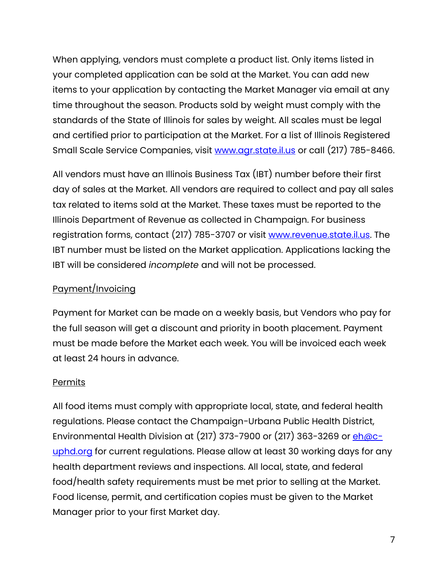When applying, vendors must complete a product list. Only items listed in your completed application can be sold at the Market. You can add new items to your application by contacting the Market Manager via email at any time throughout the season. Products sold by weight must comply with the standards of the State of Illinois for sales by weight. All scales must be legal and certified prior to participation at the Market. For a list of Illinois Registered Small Scale Service Companies, visit<www.agr.state.il.us> or call (217) 785-8466.

All vendors must have an Illinois Business Tax (IBT) number before their first day of sales at the Market. All vendors are required to collect and pay all sales tax related to items sold at the Market. These taxes must be reported to the Illinois Department of Revenue as collected in Champaign. For business registration forms, contact (217) 785-3707 or visit [www.revenue.state.il.us.](www.revenue.state.il.us) The IBT number must be listed on the Market application. Applications lacking the IBT will be considered *incomplete* and will not be processed.

#### Payment/Invoicing

Payment for Market can be made on a weekly basis, but Vendors who pay for the full season will get a discount and priority in booth placement. Payment must be made before the Market each week. You will be invoiced each week at least 24 hours in advance.

#### Permits

All food items must comply with appropriate local, state, and federal health regulations. Please contact the Champaign-Urbana Public Health District, Environmental Health Division at  $(217)$  373-7900 or  $(217)$  363-3269 or  $\frac{eh\text{/}O\text{/}O\text{/}}{eh\text{/}O\text{/}O\text{/}}$ [uphd.org](mailto:eh@c-uphd.org) for current regulations. Please allow at least 30 working days for any health department reviews and inspections. All local, state, and federal food/health safety requirements must be met prior to selling at the Market. Food license, permit, and certification copies must be given to the Market Manager prior to your first Market day.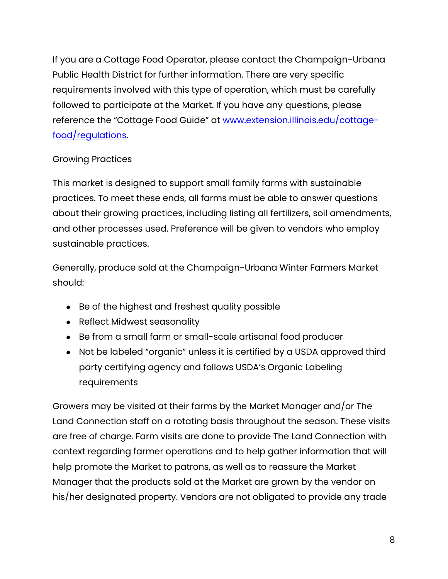If you are a Cottage Food Operator, please contact the Champaign-Urbana Public Health District for further information. There are very specific requirements involved with this type of operation, which must be carefully followed to participate at the Market. If you have any questions, please reference the "Cottage Food Guide" at [www.extension.illinois.edu/cottage](www.extension.illinois.edu/cottage-food/regulations)[food/regulations.](www.extension.illinois.edu/cottage-food/regulations)

#### Growing Practices

This market is designed to support small family farms with sustainable practices. To meet these ends, all farms must be able to answer questions about their growing practices, including listing all fertilizers, soil amendments, and other processes used. Preference will be given to vendors who employ sustainable practices.

Generally, produce sold at the Champaign-Urbana Winter Farmers Market should:

- Be of the highest and freshest quality possible
- Reflect Midwest seasonality
- Be from a small farm or small-scale artisanal food producer
- Not be labeled "organic" unless it is certified by a USDA approved third party certifying agency and follows USDA's Organic Labeling requirements

Growers may be visited at their farms by the Market Manager and/or The Land Connection staff on a rotating basis throughout the season. These visits are free of charge. Farm visits are done to provide The Land Connection with context regarding farmer operations and to help gather information that will help promote the Market to patrons, as well as to reassure the Market Manager that the products sold at the Market are grown by the vendor on his/her designated property. Vendors are not obligated to provide any trade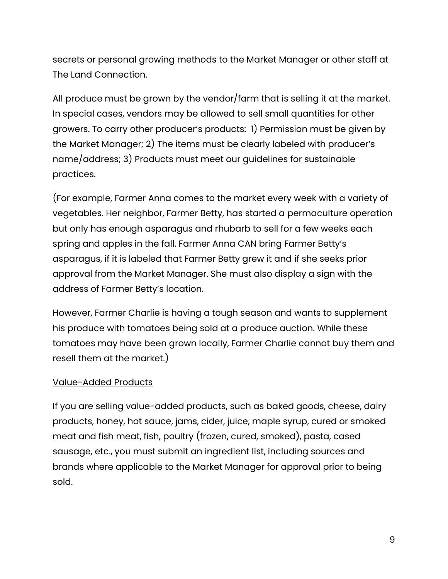secrets or personal growing methods to the Market Manager or other staff at The Land Connection.

All produce must be grown by the vendor/farm that is selling it at the market. In special cases, vendors may be allowed to sell small quantities for other growers. To carry other producer's products: 1) Permission must be given by the Market Manager; 2) The items must be clearly labeled with producer's name/address; 3) Products must meet our guidelines for sustainable practices.

(For example, Farmer Anna comes to the market every week with a variety of vegetables. Her neighbor, Farmer Betty, has started a permaculture operation but only has enough asparagus and rhubarb to sell for a few weeks each spring and apples in the fall. Farmer Anna CAN bring Farmer Betty's asparagus, if it is labeled that Farmer Betty grew it and if she seeks prior approval from the Market Manager. She must also display a sign with the address of Farmer Betty's location.

However, Farmer Charlie is having a tough season and wants to supplement his produce with tomatoes being sold at a produce auction. While these tomatoes may have been grown locally, Farmer Charlie cannot buy them and resell them at the market.)

#### Value-Added Products

If you are selling value-added products, such as baked goods, cheese, dairy products, honey, hot sauce, jams, cider, juice, maple syrup, cured or smoked meat and fish meat, fish, poultry (frozen, cured, smoked), pasta, cased sausage, etc., you must submit an ingredient list, including sources and brands where applicable to the Market Manager for approval prior to being sold.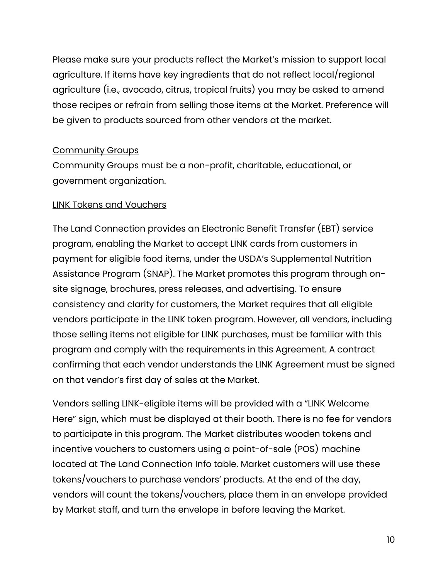Please make sure your products reflect the Market's mission to support local agriculture. If items have key ingredients that do not reflect local/regional agriculture (i.e., avocado, citrus, tropical fruits) you may be asked to amend those recipes or refrain from selling those items at the Market. Preference will be given to products sourced from other vendors at the market.

#### Community Groups

Community Groups must be a non-profit, charitable, educational, or government organization.

#### LINK Tokens and Vouchers

The Land Connection provides an Electronic Benefit Transfer (EBT) service program, enabling the Market to accept LINK cards from customers in payment for eligible food items, under the USDA's Supplemental Nutrition Assistance Program (SNAP). The Market promotes this program through onsite signage, brochures, press releases, and advertising. To ensure consistency and clarity for customers, the Market requires that all eligible vendors participate in the LINK token program. However, all vendors, including those selling items not eligible for LINK purchases, must be familiar with this program and comply with the requirements in this Agreement. A contract confirming that each vendor understands the LINK Agreement must be signed on that vendor's first day of sales at the Market.

Vendors selling LINK-eligible items will be provided with a "LINK Welcome Here" sign, which must be displayed at their booth. There is no fee for vendors to participate in this program. The Market distributes wooden tokens and incentive vouchers to customers using a point-of-sale (POS) machine located at The Land Connection Info table. Market customers will use these tokens/vouchers to purchase vendors' products. At the end of the day, vendors will count the tokens/vouchers, place them in an envelope provided by Market staff, and turn the envelope in before leaving the Market.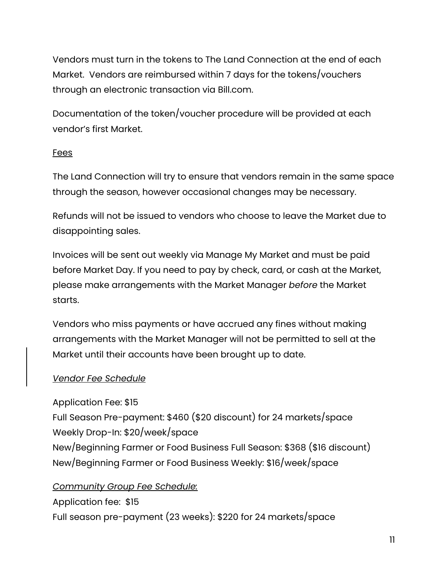Vendors must turn in the tokens to The Land Connection at the end of each Market. Vendors are reimbursed within 7 days for the tokens/vouchers through an electronic transaction via Bill.com.

Documentation of the token/voucher procedure will be provided at each vendor's first Market.

#### Fees

The Land Connection will try to ensure that vendors remain in the same space through the season, however occasional changes may be necessary.

Refunds will not be issued to vendors who choose to leave the Market due to disappointing sales.

Invoices will be sent out weekly via Manage My Market and must be paid before Market Day. If you need to pay by check, card, or cash at the Market, please make arrangements with the Market Manager *before* the Market starts.

Vendors who miss payments or have accrued any fines without making arrangements with the Market Manager will not be permitted to sell at the Market until their accounts have been brought up to date.

#### *Vendor Fee Schedule*

Application Fee: \$15

Full Season Pre-payment: \$460 (\$20 discount) for 24 markets/space Weekly Drop-In: \$20/week/space New/Beginning Farmer or Food Business Full Season: \$368 (\$16 discount) New/Beginning Farmer or Food Business Weekly: \$16/week/space

#### *Community Group Fee Schedule:*

Application fee: \$15 Full season pre-payment (23 weeks): \$220 for 24 markets/space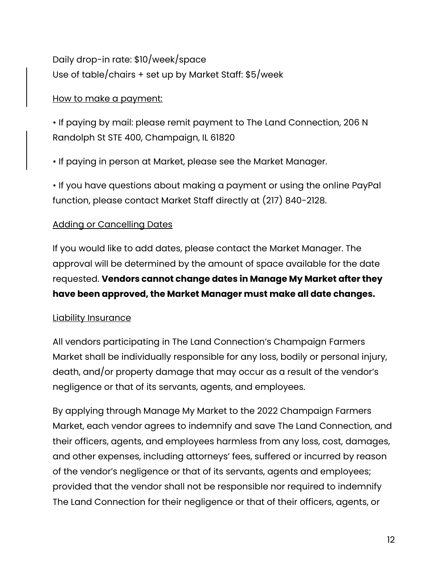Daily drop-in rate: \$10/week/space Use of table/chairs + set up by Market Staff: \$5/week

#### How to make a payment:

• If paying by mail: please remit payment to The Land Connection, 206 N Randolph St STE 400, Champaign, IL 61820

• If paying in person at Market, please see the Market Manager.

• If you have questions about making a payment or using the online PayPal function, please contact Market Staff directly at (217) 840-2128.

#### Adding or Cancelling Dates

If you would like to add dates, please contact the Market Manager. The approval will be determined by the amount of space available for the date requested. **Vendors cannot change dates in Manage My Market after they have been approved, the Market Manager must make all date changes.**

#### Liability Insurance

All vendors participating in The Land Connection's Champaign Farmers Market shall be individually responsible for any loss, bodily or personal injury, death, and/or property damage that may occur as a result of the vendor's negligence or that of its servants, agents, and employees.

By applying through Manage My Market to the 2022 Champaign Farmers Market, each vendor agrees to indemnify and save The Land Connection, and their officers, agents, and employees harmless from any loss, cost, damages, and other expenses, including attorneys' fees, suffered or incurred by reason of the vendor's negligence or that of its servants, agents and employees; provided that the vendor shall not be responsible nor required to indemnify The Land Connection for their negligence or that of their officers, agents, or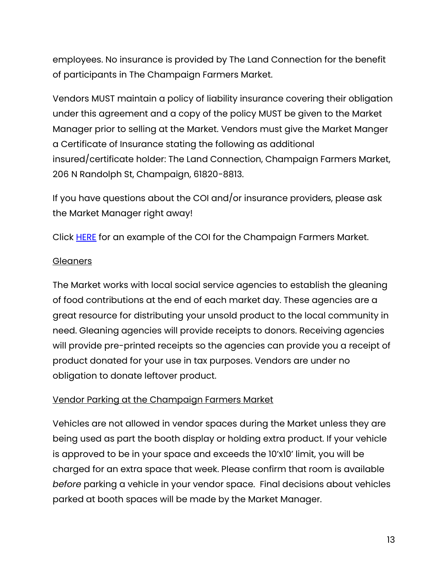employees. No insurance is provided by The Land Connection for the benefit of participants in The Champaign Farmers Market.

Vendors MUST maintain a policy of liability insurance covering their obligation under this agreement and a copy of the policy MUST be given to the Market Manager prior to selling at the Market. Vendors must give the Market Manger a Certificate of Insurance stating the following as additional insured/certificate holder: The Land Connection, Champaign Farmers Market, 206 N Randolph St, Champaign, 61820-8813.

If you have questions about the COI and/or insurance providers, please ask the Market Manager right away!

Click [HERE](../Vendors/coi%20example%20summer%20market.pdf) for an example of the COI for the Champaign Farmers Market.

#### **Gleaners**

The Market works with local social service agencies to establish the gleaning of food contributions at the end of each market day. These agencies are a great resource for distributing your unsold product to the local community in need. Gleaning agencies will provide receipts to donors. Receiving agencies will provide pre-printed receipts so the agencies can provide you a receipt of product donated for your use in tax purposes. Vendors are under no obligation to donate leftover product.

#### Vendor Parking at the Champaign Farmers Market

Vehicles are not allowed in vendor spaces during the Market unless they are being used as part the booth display or holding extra product. If your vehicle is approved to be in your space and exceeds the 10'x10' limit, you will be charged for an extra space that week. Please confirm that room is available *before* parking a vehicle in your vendor space. Final decisions about vehicles parked at booth spaces will be made by the Market Manager.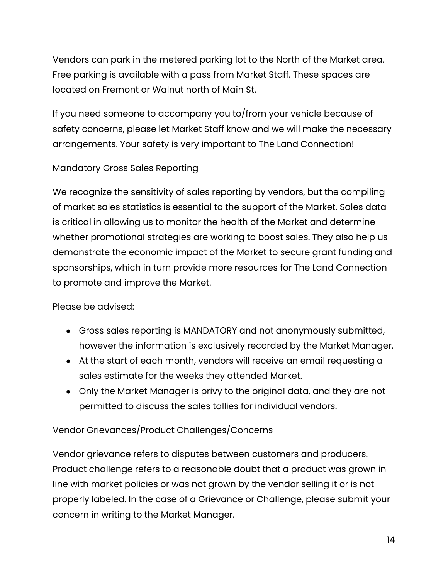Vendors can park in the metered parking lot to the North of the Market area. Free parking is available with a pass from Market Staff. These spaces are located on Fremont or Walnut north of Main St.

If you need someone to accompany you to/from your vehicle because of safety concerns, please let Market Staff know and we will make the necessary arrangements. Your safety is very important to The Land Connection!

#### Mandatory Gross Sales Reporting

We recognize the sensitivity of sales reporting by vendors, but the compiling of market sales statistics is essential to the support of the Market. Sales data is critical in allowing us to monitor the health of the Market and determine whether promotional strategies are working to boost sales. They also help us demonstrate the economic impact of the Market to secure grant funding and sponsorships, which in turn provide more resources for The Land Connection to promote and improve the Market.

Please be advised:

- Gross sales reporting is MANDATORY and not anonymously submitted, however the information is exclusively recorded by the Market Manager.
- At the start of each month, vendors will receive an email requesting a sales estimate for the weeks they attended Market.
- Only the Market Manager is privy to the original data, and they are not permitted to discuss the sales tallies for individual vendors.

### Vendor Grievances/Product Challenges/Concerns

Vendor grievance refers to disputes between customers and producers. Product challenge refers to a reasonable doubt that a product was grown in line with market policies or was not grown by the vendor selling it or is not properly labeled. In the case of a Grievance or Challenge, please submit your concern in writing to the Market Manager.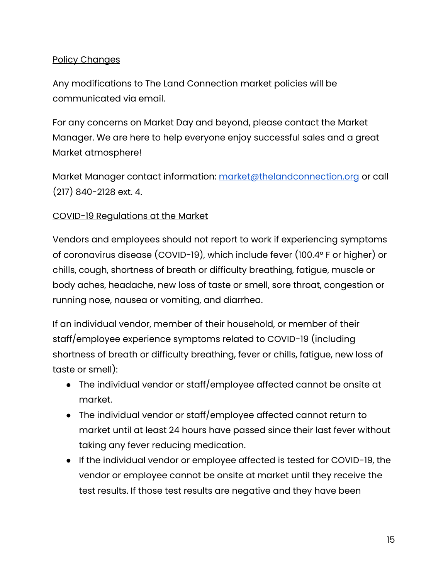#### Policy Changes

Any modifications to The Land Connection market policies will be communicated via email.

For any concerns on Market Day and beyond, please contact the Market Manager. We are here to help everyone enjoy successful sales and a great Market atmosphere!

Market Manager contact information: [market@thelandconnection.org](mailto:market@thelandconnection.org) or call (217) 840-2128 ext. 4.

#### COVID-19 Regulations at the Market

Vendors and employees should not report to work if experiencing symptoms of coronavirus disease (COVID-19), which include fever (100.4° F or higher) or chills, cough, shortness of breath or difficulty breathing, fatigue, muscle or body aches, headache, new loss of taste or smell, sore throat, congestion or running nose, nausea or vomiting, and diarrhea.

If an individual vendor, member of their household, or member of their staff/employee experience symptoms related to COVID-19 (including shortness of breath or difficulty breathing, fever or chills, fatigue, new loss of taste or smell):

- The individual vendor or staff/employee affected cannot be onsite at market.
- The individual vendor or staff/employee affected cannot return to market until at least 24 hours have passed since their last fever without taking any fever reducing medication.
- If the individual vendor or employee affected is tested for COVID-19, the vendor or employee cannot be onsite at market until they receive the test results. If those test results are negative and they have been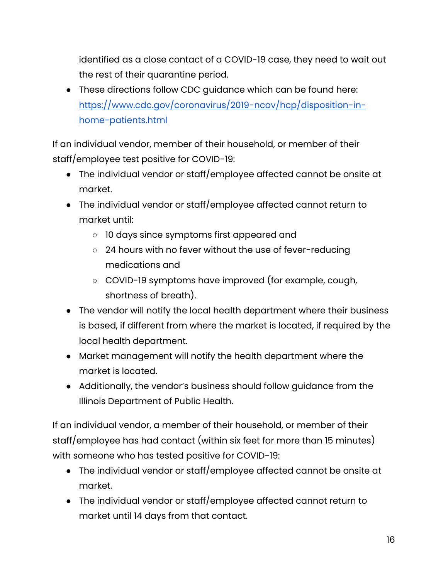identified as a close contact of a COVID-19 case, they need to wait out the rest of their quarantine period.

● These directions follow CDC guidance which can be found here: [https://www.cdc.gov/coronavirus/2019-ncov/hcp/disposition-in](https://www.cdc.gov/coronavirus/2019-ncov/hcp/disposition-in-home-patients.html)[home-patients.html](https://www.cdc.gov/coronavirus/2019-ncov/hcp/disposition-in-home-patients.html)

If an individual vendor, member of their household, or member of their staff/employee test positive for COVID-19:

- The individual vendor or staff/employee affected cannot be onsite at market.
- The individual vendor or staff/employee affected cannot return to market until:
	- 10 days since symptoms first appeared and
	- 24 hours with no fever without the use of fever-reducing medications and
	- COVID-19 symptoms have improved (for example, cough, shortness of breath).
- The vendor will notify the local health department where their business is based, if different from where the market is located, if required by the local health department.
- Market management will notify the health department where the market is located.
- Additionally, the vendor's business should follow guidance from the Illinois Department of Public Health.

If an individual vendor, a member of their household, or member of their staff/employee has had contact (within six feet for more than 15 minutes) with someone who has tested positive for COVID-19:

- The individual vendor or staff/employee affected cannot be onsite at market.
- The individual vendor or staff/employee affected cannot return to market until 14 days from that contact.